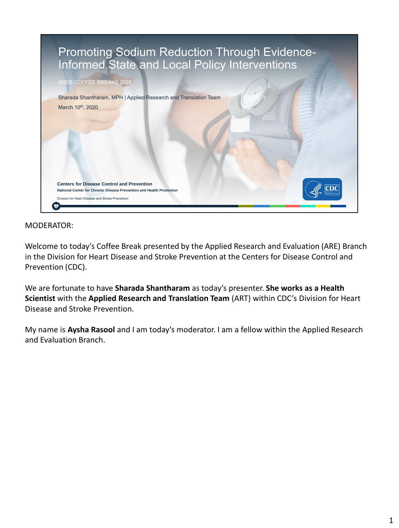

Welcome to today's Coffee Break presented by the Applied Research and Evaluation (ARE) Branch in the Division for Heart Disease and Stroke Prevention at the Centers for Disease Control and Prevention (CDC).

We are fortunate to have **Sharada Shantharam** as today's presenter. **She works as a Health Scientist** with the **Applied Research and Translation Team** (ART) within CDC's Division for Heart Disease and Stroke Prevention.

My name is **Aysha Rasool** and I am today's moderator. I am a fellow within the Applied Research and Evaluation Branch.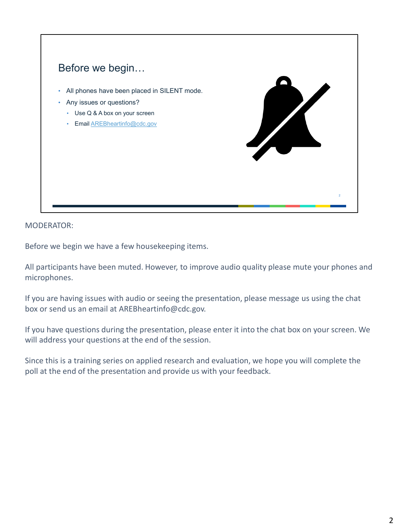

Before we begin we have a few housekeeping items.

All participants have been muted. However, to improve audio quality please mute your phones and microphones.

If you are having issues with audio or seeing the presentation, please message us using the chat box or send us an email at AREBheartinfo@cdc.gov.

If you have questions during the presentation, please enter it into the chat box on your screen. We will address your questions at the end of the session.

Since this is a training series on applied research and evaluation, we hope you will complete the poll at the end of the presentation and provide us with your feedback.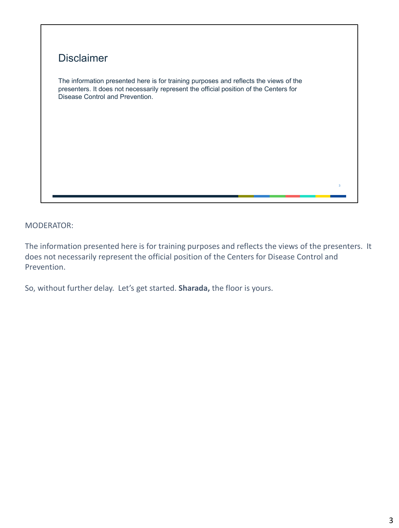

The information presented here is for training purposes and reflects the views of the presenters. It does not necessarily represent the official position of the Centers for Disease Control and Prevention.

So, without further delay. Let's get started. **Sharada,** the floor is yours.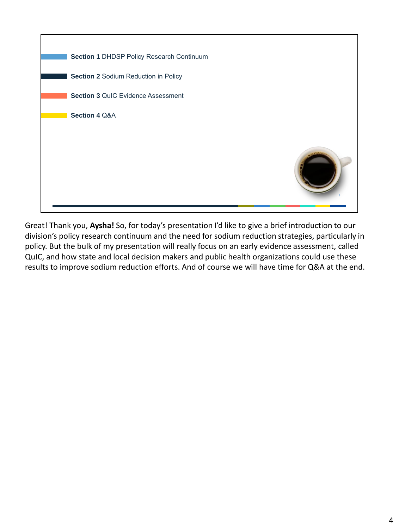

Great! Thank you, **Aysha!** So, for today's presentation I'd like to give a brief introduction to our division's policy research continuum and the need for sodium reduction strategies, particularly in policy. But the bulk of my presentation will really focus on an early evidence assessment, called QuIC, and how state and local decision makers and public health organizations could use these results to improve sodium reduction efforts. And of course we will have time for Q&A at the end.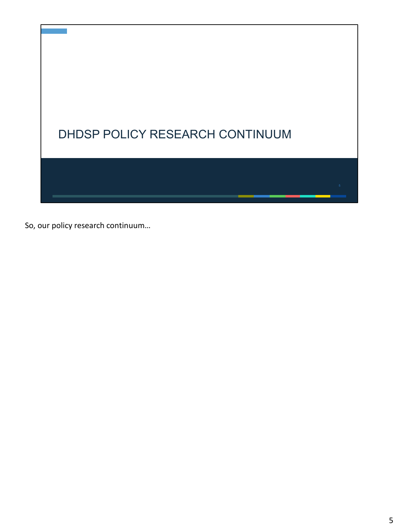

So, our policy research continuum…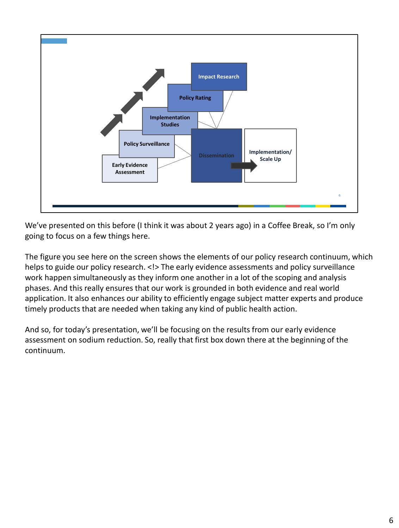

We've presented on this before (I think it was about 2 years ago) in a Coffee Break, so I'm only going to focus on a few things here.

The figure you see here on the screen shows the elements of our policy research continuum, which helps to guide our policy research. <!> The early evidence assessments and policy surveillance work happen simultaneously as they inform one another in a lot of the scoping and analysis phases. And this really ensures that our work is grounded in both evidence and real world application. It also enhances our ability to efficiently engage subject matter experts and produce timely products that are needed when taking any kind of public health action.

And so, for today's presentation, we'll be focusing on the results from our early evidence assessment on sodium reduction. So, really that first box down there at the beginning of the continuum.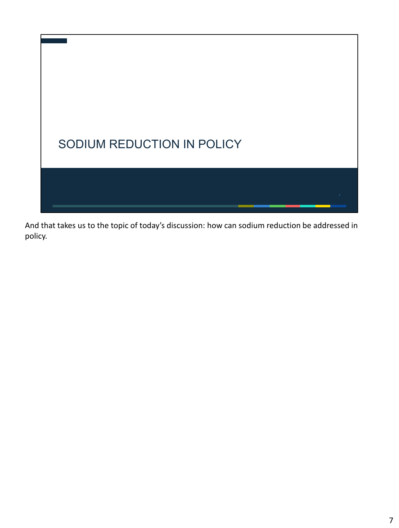

And that takes us to the topic of today's discussion: how can sodium reduction be addressed in policy.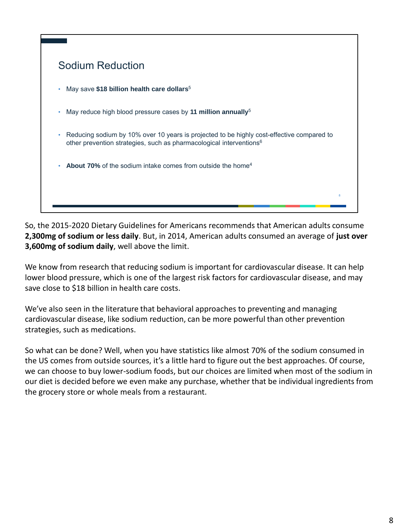

So, the 2015-2020 Dietary Guidelines for Americans recommends that American adults consume **2,300mg of sodium or less daily**. But, in 2014, American adults consumed an average of **just over 3,600mg of sodium daily**, well above the limit.

We know from research that reducing sodium is important for cardiovascular disease. It can help lower blood pressure, which is one of the largest risk factors for cardiovascular disease, and may save close to \$18 billion in health care costs.

We've also seen in the literature that behavioral approaches to preventing and managing cardiovascular disease, like sodium reduction, can be more powerful than other prevention strategies, such as medications.

So what can be done? Well, when you have statistics like almost 70% of the sodium consumed in the US comes from outside sources, it's a little hard to figure out the best approaches. Of course, we can choose to buy lower-sodium foods, but our choices are limited when most of the sodium in our diet is decided before we even make any purchase, whether that be individual ingredients from the grocery store or whole meals from a restaurant.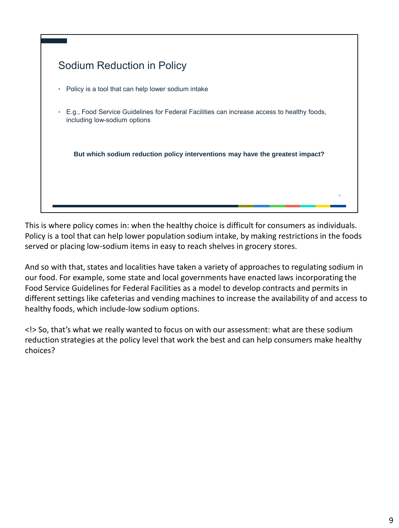

This is where policy comes in: when the healthy choice is difficult for consumers as individuals. Policy is a tool that can help lower population sodium intake, by making restrictions in the foods served or placing low-sodium items in easy to reach shelves in grocery stores.

And so with that, states and localities have taken a variety of approaches to regulating sodium in our food. For example, some state and local governments have enacted laws incorporating the Food Service Guidelines for Federal Facilities as a model to develop contracts and permits in different settings like cafeterias and vending machines to increase the availability of and access to healthy foods, which include-low sodium options.

<!> So, that's what we really wanted to focus on with our assessment: what are these sodium reduction strategies at the policy level that work the best and can help consumers make healthy choices?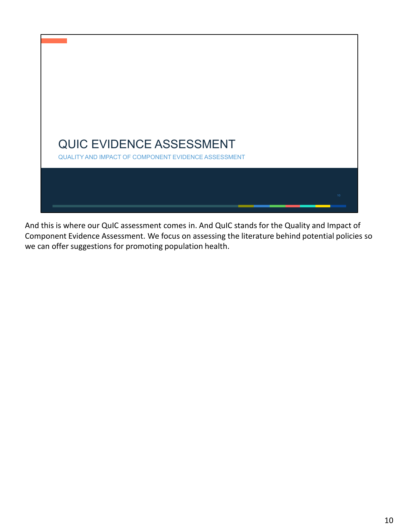

And this is where our QuIC assessment comes in. And QuIC stands for the Quality and Impact of Component Evidence Assessment. We focus on assessing the literature behind potential policies so we can offer suggestions for promoting population health.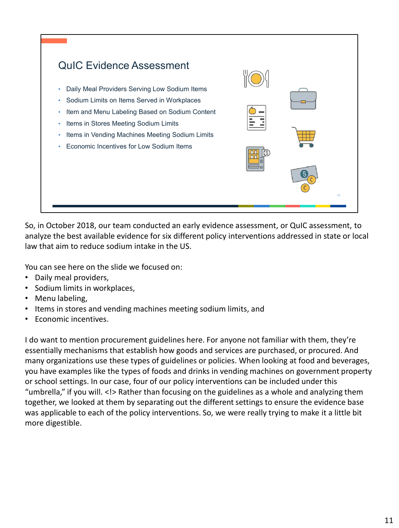

So, in October 2018, our team conducted an early evidence assessment, or QuIC assessment, to analyze the best available evidence for six different policy interventions addressed in state or local law that aim to reduce sodium intake in the US.

You can see here on the slide we focused on:

- Daily meal providers,
- Sodium limits in workplaces,
- Menu labeling,
- Items in stores and vending machines meeting sodium limits, and
- Economic incentives.

I do want to mention procurement guidelines here. For anyone not familiar with them, they're essentially mechanisms that establish how goods and services are purchased, or procured. And many organizations use these types of guidelines or policies. When looking at food and beverages, you have examples like the types of foods and drinks in vending machines on government property or school settings. In our case, four of our policy interventions can be included under this "umbrella," if you will. <!> Rather than focusing on the guidelines as a whole and analyzing them together, we looked at them by separating out the different settings to ensure the evidence base was applicable to each of the policy interventions. So, we were really trying to make it a little bit more digestible.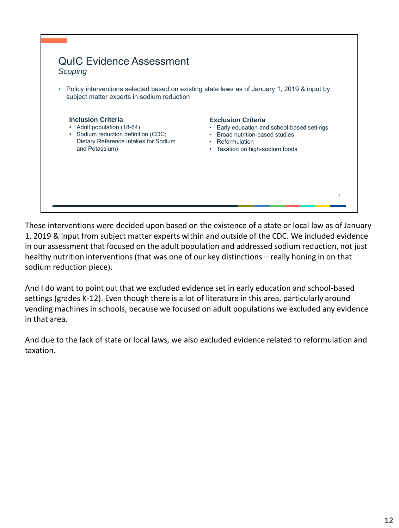

These interventions were decided upon based on the existence of a state or local law as of January 1, 2019 & input from subject matter experts within and outside of the CDC. We included evidence in our assessment that focused on the adult population and addressed sodium reduction, not just healthy nutrition interventions (that was one of our key distinctions – really honing in on that sodium reduction piece).

And I do want to point out that we excluded evidence set in early education and school-based settings (grades K-12). Even though there is a lot of literature in this area, particularly around vending machines in schools, because we focused on adult populations we excluded any evidence in that area.

And due to the lack of state or local laws, we also excluded evidence related to reformulation and taxation.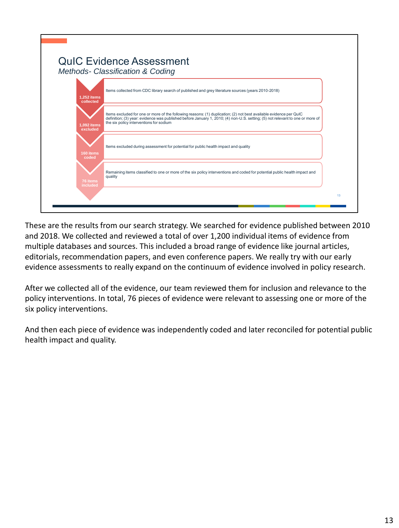|                           | <b>QuIC Evidence Assessment</b><br>Methods- Classification & Coding                                                                                                                                                                                                                            |
|---------------------------|------------------------------------------------------------------------------------------------------------------------------------------------------------------------------------------------------------------------------------------------------------------------------------------------|
| 1,252 items<br>collected  | Items collected from CDC library search of published and grey literature sources (years 2010-2018)                                                                                                                                                                                             |
| $1,092$ items<br>excluded | Items excluded for one or more of the following reasons: (1) duplication; (2) not best available evidence per QuIC<br>definition; (3) year: evidence was published before January 1, 2010; (4) non-U.S. setting; (5) not relevant to one or more of<br>the six policy interventions for sodium |
| 160 items<br>coded        | Items excluded during assessment for potential for public health impact and quality                                                                                                                                                                                                            |
| 76 items<br>included      | Remaining items classified to one or more of the six policy interventions and coded for potential public health impact and<br>quality                                                                                                                                                          |
|                           | 13                                                                                                                                                                                                                                                                                             |

These are the results from our search strategy. We searched for evidence published between 2010 and 2018. We collected and reviewed a total of over 1,200 individual items of evidence from multiple databases and sources. This included a broad range of evidence like journal articles, editorials, recommendation papers, and even conference papers. We really try with our early evidence assessments to really expand on the continuum of evidence involved in policy research.

After we collected all of the evidence, our team reviewed them for inclusion and relevance to the policy interventions. In total, 76 pieces of evidence were relevant to assessing one or more of the six policy interventions.

And then each piece of evidence was independently coded and later reconciled for potential public health impact and quality.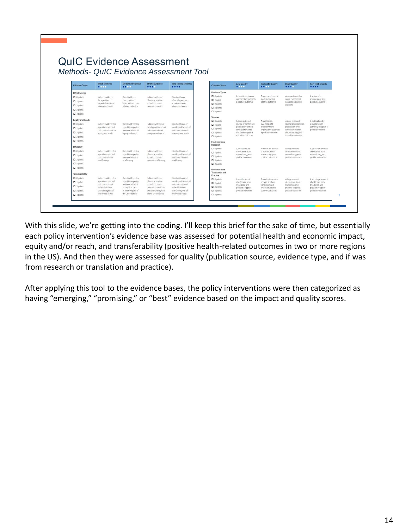| <b>QuIC Evidence Assessment</b><br><b>Criterion Score</b><br>Effectiveness | Weak Evidence                                                                                   |                                                                                  |                                                                 | Methods- QuIC Evidence Assessment Tool      |                                                                                                                                                                          |                                                                                                                                                       |                                                            |                                                                                                                                                                                 |                                                            |
|----------------------------------------------------------------------------|-------------------------------------------------------------------------------------------------|----------------------------------------------------------------------------------|-----------------------------------------------------------------|---------------------------------------------|--------------------------------------------------------------------------------------------------------------------------------------------------------------------------|-------------------------------------------------------------------------------------------------------------------------------------------------------|------------------------------------------------------------|---------------------------------------------------------------------------------------------------------------------------------------------------------------------------------|------------------------------------------------------------|
|                                                                            |                                                                                                 |                                                                                  |                                                                 |                                             |                                                                                                                                                                          |                                                                                                                                                       |                                                            |                                                                                                                                                                                 |                                                            |
|                                                                            |                                                                                                 |                                                                                  |                                                                 |                                             |                                                                                                                                                                          |                                                                                                                                                       |                                                            |                                                                                                                                                                                 |                                                            |
|                                                                            |                                                                                                 |                                                                                  |                                                                 |                                             |                                                                                                                                                                          |                                                                                                                                                       |                                                            |                                                                                                                                                                                 |                                                            |
|                                                                            |                                                                                                 |                                                                                  |                                                                 |                                             |                                                                                                                                                                          |                                                                                                                                                       |                                                            |                                                                                                                                                                                 |                                                            |
|                                                                            |                                                                                                 |                                                                                  |                                                                 |                                             |                                                                                                                                                                          |                                                                                                                                                       |                                                            |                                                                                                                                                                                 |                                                            |
|                                                                            | 0.0001                                                                                          | Moderate Evidence<br>                                                            | <b>Strong Evidence</b><br>$\bullet\bullet\bullet\bullet$        | Very Strong Evidence<br>                    | <b>Criterion Score</b>                                                                                                                                                   | <b>Low Quality</b><br>                                                                                                                                | <b>Moderate Quality</b><br>                                | <b>High Quality</b><br>$\bullet\bullet\bullet\bullet\bullet$                                                                                                                    | <b>Very High Quality</b><br>                               |
|                                                                            |                                                                                                 |                                                                                  |                                                                 |                                             | <b>Evidence Types</b>                                                                                                                                                    |                                                                                                                                                       |                                                            |                                                                                                                                                                                 |                                                            |
| $\square$ 0 points                                                         | $\Box$ 0 points<br>Indirect evidence<br>Direct evidence<br>Indirect evidence<br>Direct evidence |                                                                                  | A narrative review or                                           | A non-experimental                          | An experimental or                                                                                                                                                       | A systematic                                                                                                                                          |                                                            |                                                                                                                                                                                 |                                                            |
| $\square$ 1 point                                                          | for a positive                                                                                  | for a positive                                                                   | of mostly positive                                              | of mostly positive                          | $\square$ 1 point                                                                                                                                                        | commentary suggests<br>a positive outcome<br>positive outcome                                                                                         | study suggests a                                           | quasi-experiment<br>suggests a positive<br>outcome                                                                                                                              | review suggests a<br>positive outcome                      |
| $\Box$ 2 points                                                            | expected outcome                                                                                | expected outcome?                                                                | actual outcomes                                                 | actual outcomes                             | $\square$ 2 points                                                                                                                                                       |                                                                                                                                                       |                                                            |                                                                                                                                                                                 |                                                            |
| $\square$ 3 points                                                         | relevant to health                                                                              | relevant to health                                                               | relevant to health.                                             | relevant to health                          | $\square$ 3 points                                                                                                                                                       |                                                                                                                                                       |                                                            |                                                                                                                                                                                 |                                                            |
| $\square$ 4 points                                                         |                                                                                                 |                                                                                  |                                                                 | $\square$ 4 points                          |                                                                                                                                                                          |                                                                                                                                                       |                                                            |                                                                                                                                                                                 |                                                            |
|                                                                            |                                                                                                 |                                                                                  |                                                                 |                                             | Sources                                                                                                                                                                  |                                                                                                                                                       |                                                            |                                                                                                                                                                                 |                                                            |
| <b>Equity and Reach</b>                                                    |                                                                                                 |                                                                                  |                                                                 |                                             | $\square$ 0 points                                                                                                                                                       | A peer-reviewed                                                                                                                                       | A publication                                              | A peer-reviewed                                                                                                                                                                 | A publication by                                           |
| $\square$ 0 points                                                         | Indirect evidence for                                                                           | Direct evidence for                                                              | Indirect evidence of                                            | Direct evidence of                          | $\Box$ 1 point                                                                                                                                                           | journal or conference<br>publication without<br>or government<br>$\Box$ 2 points<br>conflict of interest<br>$\square$ 3 points<br>disclosure suggests | by a nonprofit                                             | journal or conference.<br>a public health<br>publication with<br>authority suggests a<br>conflict of interest<br>positive outcome<br>disclosure suggests<br>a positive outcome. |                                                            |
| $\Box$ 1 point                                                             | a positive expected<br>outcome relevant to                                                      | a positive expected.<br>outcome relevant to                                      | mostly positive actual<br>outcomes relevant                     | mostly positive actual<br>outcomes relevant |                                                                                                                                                                          |                                                                                                                                                       | organization suggests                                      |                                                                                                                                                                                 |                                                            |
| $\Box$ 2 points                                                            | equity and reach                                                                                | equity and reach                                                                 | to equity and reach                                             | to equity and reach                         |                                                                                                                                                                          |                                                                                                                                                       | a positive outcome                                         |                                                                                                                                                                                 |                                                            |
| $\square$ 3 points                                                         |                                                                                                 |                                                                                  |                                                                 | $\square$ 4 points                          | a positive outcome                                                                                                                                                       |                                                                                                                                                       |                                                            |                                                                                                                                                                                 |                                                            |
| $\square$ 4 points                                                         |                                                                                                 |                                                                                  |                                                                 |                                             | <b>Evidence from</b>                                                                                                                                                     |                                                                                                                                                       |                                                            |                                                                                                                                                                                 |                                                            |
| Efficiency                                                                 |                                                                                                 |                                                                                  |                                                                 |                                             |                                                                                                                                                                          |                                                                                                                                                       |                                                            |                                                                                                                                                                                 | A very large amount.                                       |
| $\Box$ 0 points                                                            | Indirect evidence for                                                                           | Direct evidence for<br>a positive expected.<br>outcome relevant<br>to efficiency | Indirect evidence                                               | Direct evidence of                          |                                                                                                                                                                          | of evidence from<br>research suggests<br>positive outcomes                                                                                            | of evidence from<br>research suggests<br>positive outcomes | of evidence from<br>research suggests<br>positive outcomes                                                                                                                      | of evidence from<br>research suggests<br>positive outcomes |
| $\Box$ 1 point                                                             | a positive expected                                                                             |                                                                                  | of mostly positive                                              | mostly positive actual                      |                                                                                                                                                                          |                                                                                                                                                       |                                                            |                                                                                                                                                                                 |                                                            |
| $\square$ 2 points                                                         | to efficiency                                                                                   |                                                                                  |                                                                 | to efficiency                               |                                                                                                                                                                          |                                                                                                                                                       |                                                            |                                                                                                                                                                                 |                                                            |
| $\square$ 3 points                                                         |                                                                                                 |                                                                                  |                                                                 |                                             | $\square$ 4 points                                                                                                                                                       |                                                                                                                                                       |                                                            |                                                                                                                                                                                 |                                                            |
| $\square$ 4 points                                                         |                                                                                                 |                                                                                  |                                                                 |                                             |                                                                                                                                                                          |                                                                                                                                                       |                                                            |                                                                                                                                                                                 |                                                            |
|                                                                            |                                                                                                 |                                                                                  |                                                                 |                                             | <b>Translation and</b>                                                                                                                                                   |                                                                                                                                                       |                                                            |                                                                                                                                                                                 |                                                            |
|                                                                            |                                                                                                 |                                                                                  |                                                                 |                                             |                                                                                                                                                                          |                                                                                                                                                       |                                                            |                                                                                                                                                                                 |                                                            |
| Transferability                                                            | a positive expected                                                                             | a positive expected.<br>outcome relevant                                         | of mostly positive<br>actual outcomes                           | mostly positive actual                      |                                                                                                                                                                          |                                                                                                                                                       |                                                            |                                                                                                                                                                                 | A very large amount.<br>of evidence from                   |
| $\Box$ 0 points                                                            |                                                                                                 |                                                                                  |                                                                 | outcomes relevant                           |                                                                                                                                                                          | translation and                                                                                                                                       | translation and                                            | translation and<br>practice suppests                                                                                                                                            | translation and<br>practice suggests                       |
| $\Box$ 1 point                                                             | outcome relevant                                                                                |                                                                                  |                                                                 |                                             |                                                                                                                                                                          |                                                                                                                                                       |                                                            |                                                                                                                                                                                 |                                                            |
| $\square$ 2 points<br>$\square$ 3 points                                   | to health in two<br>or more regions of                                                          | to health in two<br>or more regions of                                           | relevant to health in<br>two or more regions                    | to health in two<br>or more regions of      | $\square$ 2 points<br>$\square$ 3 points                                                                                                                                 | practice suggests<br>positive outcomes                                                                                                                | practice suggests<br>positive outcomes                     | positive outcomes                                                                                                                                                               | positive outcomes                                          |
|                                                                            | outcome relevant.<br>Indirect evidence for                                                      | Direct evidence for                                                              | actual outcomes<br>relevant to efficiency.<br>Indirect evidence | outcomes relevant<br>Direct evidence of     | Research<br>$\square$ 0 points<br>$\Box$ 1 point<br>$\square$ 2 points<br>$\square$ 3 points<br><b>Evidence from</b><br>Practice<br>$\square$ 0 points<br>$\Box$ 1 point | A small amount<br>A small amount<br>of evidence from                                                                                                  | A moderate amount<br>A moderate amount<br>of evidence from | A large amount<br>A large amount.<br>of evidence from                                                                                                                           |                                                            |

With this slide, we're getting into the coding. I'll keep this brief for the sake of time, but essentially each policy intervention's evidence base was assessed for potential health and economic impact, equity and/or reach, and transferability (positive health-related outcomes in two or more regions in the US). And then they were assessed for quality (publication source, evidence type, and if was from research or translation and practice).

After applying this tool to the evidence bases, the policy interventions were then categorized as having "emerging," "promising," or "best" evidence based on the impact and quality scores.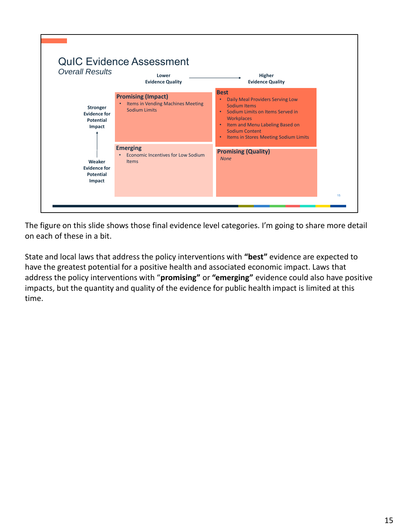

The figure on this slide shows those final evidence level categories. I'm going to share more detail on each of these in a bit.

State and local laws that address the policy interventions with **"best"** evidence are expected to have the greatest potential for a positive health and associated economic impact. Laws that address the policy interventions with "**promising"** or **"emerging"** evidence could also have positive impacts, but the quantity and quality of the evidence for public health impact is limited at this time.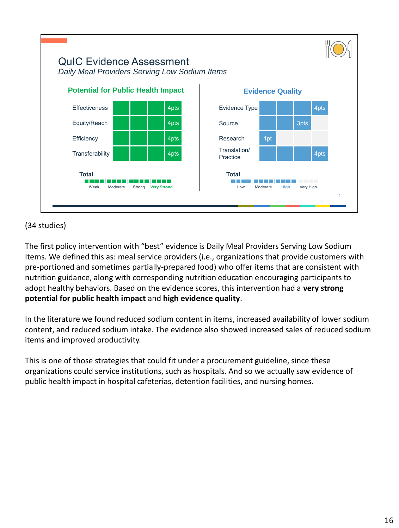

### (34 studies)

The first policy intervention with "best" evidence is Daily Meal Providers Serving Low Sodium Items. We defined this as: meal service providers (i.e., organizations that provide customers with pre-portioned and sometimes partially-prepared food) who offer items that are consistent with nutrition guidance, along with corresponding nutrition education encouraging participants to adopt healthy behaviors. Based on the evidence scores, this intervention had a **very strong potential for public health impact** and **high evidence quality**.

In the literature we found reduced sodium content in items, increased availability of lower sodium content, and reduced sodium intake. The evidence also showed increased sales of reduced sodium items and improved productivity.

This is one of those strategies that could fit under a procurement guideline, since these organizations could service institutions, such as hospitals. And so we actually saw evidence of public health impact in hospital cafeterias, detention facilities, and nursing homes.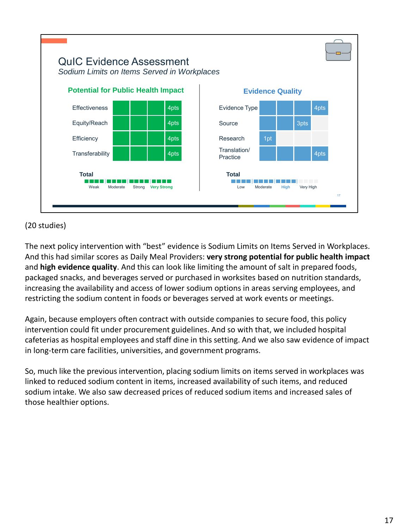

# (20 studies)

The next policy intervention with "best" evidence is Sodium Limits on Items Served in Workplaces. And this had similar scores as Daily Meal Providers: **very strong potential for public health impact**  and **high evidence quality**. And this can look like limiting the amount of salt in prepared foods, packaged snacks, and beverages served or purchased in worksites based on nutrition standards, increasing the availability and access of lower sodium options in areas serving employees, and restricting the sodium content in foods or beverages served at work events or meetings.

Again, because employers often contract with outside companies to secure food, this policy intervention could fit under procurement guidelines. And so with that, we included hospital cafeterias as hospital employees and staff dine in this setting. And we also saw evidence of impact in long-term care facilities, universities, and government programs.

So, much like the previous intervention, placing sodium limits on items served in workplaces was linked to reduced sodium content in items, increased availability of such items, and reduced sodium intake. We also saw decreased prices of reduced sodium items and increased sales of those healthier options.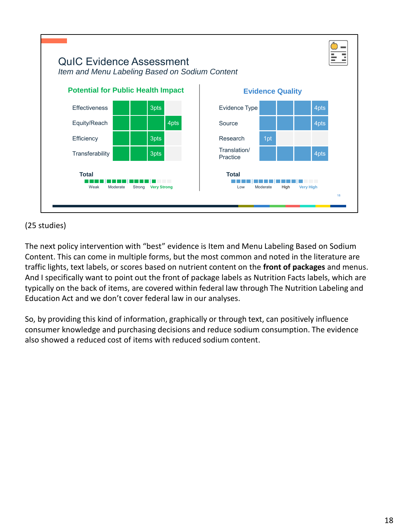

### (25 studies)

The next policy intervention with "best" evidence is Item and Menu Labeling Based on Sodium Content. This can come in multiple forms, but the most common and noted in the literature are traffic lights, text labels, or scores based on nutrient content on the **front of packages** and menus. And I specifically want to point out the front of package labels as Nutrition Facts labels, which are typically on the back of items, are covered within federal law through The Nutrition Labeling and Education Act and we don't cover federal law in our analyses.

So, by providing this kind of information, graphically or through text, can positively influence consumer knowledge and purchasing decisions and reduce sodium consumption. The evidence also showed a reduced cost of items with reduced sodium content.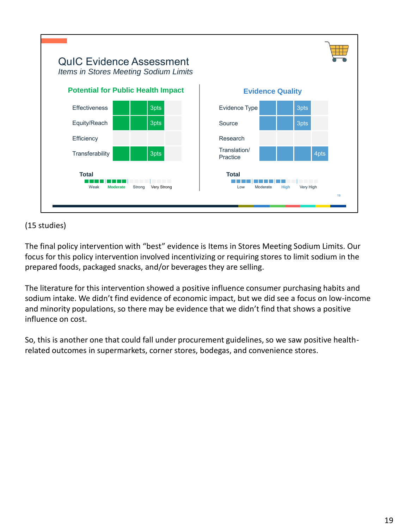

### (15 studies)

The final policy intervention with "best" evidence is Items in Stores Meeting Sodium Limits. Our focus for this policy intervention involved incentivizing or requiring stores to limit sodium in the prepared foods, packaged snacks, and/or beverages they are selling.

The literature for this intervention showed a positive influence consumer purchasing habits and sodium intake. We didn't find evidence of economic impact, but we did see a focus on low-income and minority populations, so there may be evidence that we didn't find that shows a positive influence on cost.

So, this is another one that could fall under procurement guidelines, so we saw positive healthrelated outcomes in supermarkets, corner stores, bodegas, and convenience stores.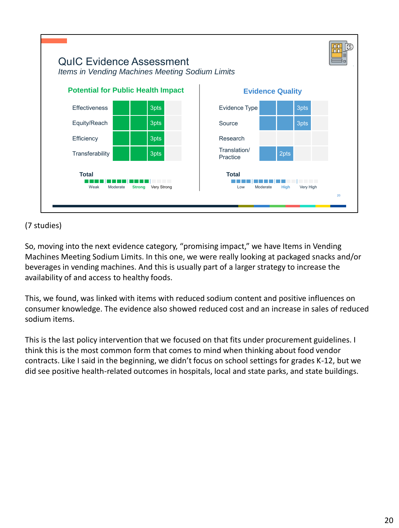

## (7 studies)

So, moving into the next evidence category, "promising impact," we have Items in Vending Machines Meeting Sodium Limits. In this one, we were really looking at packaged snacks and/or beverages in vending machines. And this is usually part of a larger strategy to increase the availability of and access to healthy foods.

This, we found, was linked with items with reduced sodium content and positive influences on consumer knowledge. The evidence also showed reduced cost and an increase in sales of reduced sodium items.

This is the last policy intervention that we focused on that fits under procurement guidelines. I think this is the most common form that comes to mind when thinking about food vendor contracts. Like I said in the beginning, we didn't focus on school settings for grades K-12, but we did see positive health-related outcomes in hospitals, local and state parks, and state buildings.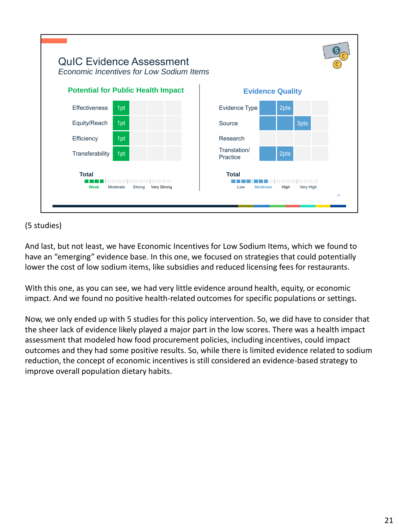| <b>QuIC Evidence Assessment</b><br><b>Economic Incentives for Low Sodium Items</b> |                                                                                 |    |
|------------------------------------------------------------------------------------|---------------------------------------------------------------------------------|----|
| <b>Potential for Public Health Impact</b>                                          | <b>Evidence Quality</b>                                                         |    |
| <b>Effectiveness</b><br>1pt                                                        | 2pts<br>Evidence Type                                                           |    |
| 1pt<br>Equity/Reach                                                                | 3pts<br>Source                                                                  |    |
| Efficiency<br>1pt                                                                  | Research                                                                        |    |
| Transferability<br>1pt                                                             | Translation/<br>2pts<br>Practice                                                |    |
| <b>Total</b><br>__________<br>Strong<br>Very Strong<br>Weak<br>Moderate            | <b>Total</b><br><b>The Color</b><br>Very High<br>High<br>Low<br><b>Moderate</b> | 21 |
|                                                                                    |                                                                                 |    |

### (5 studies)

And last, but not least, we have Economic Incentives for Low Sodium Items, which we found to have an "emerging" evidence base. In this one, we focused on strategies that could potentially lower the cost of low sodium items, like subsidies and reduced licensing fees for restaurants.

With this one, as you can see, we had very little evidence around health, equity, or economic impact. And we found no positive health-related outcomes for specific populations or settings.

Now, we only ended up with 5 studies for this policy intervention. So, we did have to consider that the sheer lack of evidence likely played a major part in the low scores. There was a health impact assessment that modeled how food procurement policies, including incentives, could impact outcomes and they had some positive results. So, while there is limited evidence related to sodium reduction, the concept of economic incentives is still considered an evidence-based strategy to improve overall population dietary habits.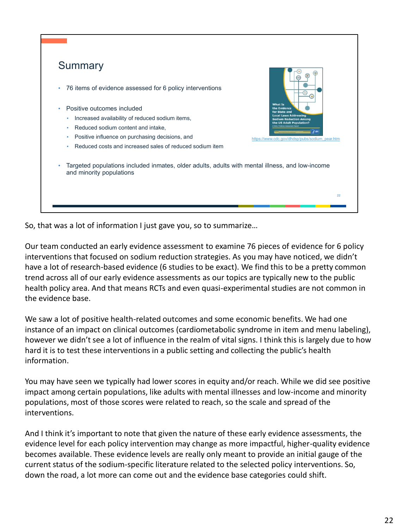| Summary                                                                                                                                  |                                                               |
|------------------------------------------------------------------------------------------------------------------------------------------|---------------------------------------------------------------|
| 76 items of evidence assessed for 6 policy interventions<br>$\bullet$                                                                    |                                                               |
| Positive outcomes included<br>۰                                                                                                          | <b>What Is</b><br>the Evidence<br>for State and               |
| Increased availability of reduced sodium items,<br>۰                                                                                     | <b>Local Laws Addressing</b><br><b>Sodium Reduction Among</b> |
| Reduced sodium content and intake,<br>٠                                                                                                  | the US Adult Population?                                      |
| Positive influence on purchasing decisions, and<br>٠                                                                                     | https://www.cdc.gov/dhdsp/pubs/sodium_pear.htm                |
| Reduced costs and increased sales of reduced sodium item<br>٠                                                                            |                                                               |
| Targeted populations included inmates, older adults, adults with mental illness, and low-income<br>$\bullet$<br>and minority populations |                                                               |
|                                                                                                                                          |                                                               |
|                                                                                                                                          | 22                                                            |

So, that was a lot of information I just gave you, so to summarize…

Our team conducted an early evidence assessment to examine 76 pieces of evidence for 6 policy interventions that focused on sodium reduction strategies. As you may have noticed, we didn't have a lot of research-based evidence (6 studies to be exact). We find this to be a pretty common trend across all of our early evidence assessments as our topics are typically new to the public health policy area. And that means RCTs and even quasi-experimental studies are not common in the evidence base.

We saw a lot of positive health-related outcomes and some economic benefits. We had one instance of an impact on clinical outcomes (cardiometabolic syndrome in item and menu labeling), however we didn't see a lot of influence in the realm of vital signs. I think this is largely due to how hard it is to test these interventions in a public setting and collecting the public's health information.

You may have seen we typically had lower scores in equity and/or reach. While we did see positive impact among certain populations, like adults with mental illnesses and low-income and minority populations, most of those scores were related to reach, so the scale and spread of the interventions.

And I think it's important to note that given the nature of these early evidence assessments, the evidence level for each policy intervention may change as more impactful, higher-quality evidence becomes available. These evidence levels are really only meant to provide an initial gauge of the current status of the sodium-specific literature related to the selected policy interventions. So, down the road, a lot more can come out and the evidence base categories could shift.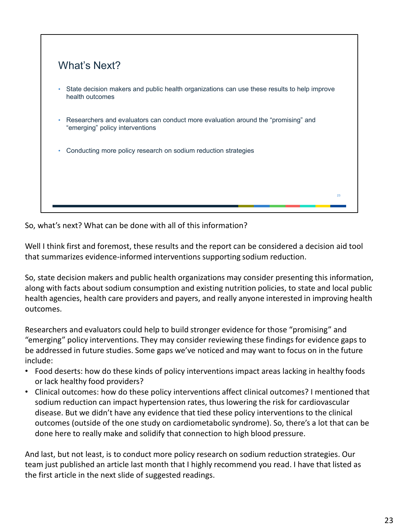

So, what's next? What can be done with all of this information?

Well I think first and foremost, these results and the report can be considered a decision aid tool that summarizes evidence-informed interventions supporting sodium reduction.

So, state decision makers and public health organizations may consider presenting this information, along with facts about sodium consumption and existing nutrition policies, to state and local public health agencies, health care providers and payers, and really anyone interested in improving health outcomes.

Researchers and evaluators could help to build stronger evidence for those "promising" and "emerging" policy interventions. They may consider reviewing these findings for evidence gaps to be addressed in future studies. Some gaps we've noticed and may want to focus on in the future include:

- Food deserts: how do these kinds of policy interventions impact areas lacking in healthy foods or lack healthy food providers?
- Clinical outcomes: how do these policy interventions affect clinical outcomes? I mentioned that sodium reduction can impact hypertension rates, thus lowering the risk for cardiovascular disease. But we didn't have any evidence that tied these policy interventions to the clinical outcomes (outside of the one study on cardiometabolic syndrome). So, there's a lot that can be done here to really make and solidify that connection to high blood pressure.

And last, but not least, is to conduct more policy research on sodium reduction strategies. Our team just published an article last month that I highly recommend you read. I have that listed as the first article in the next slide of suggested readings.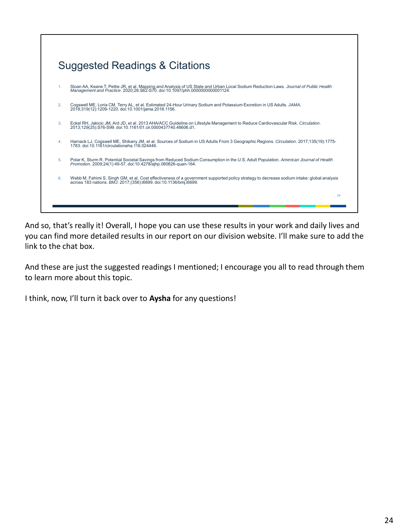

And so, that's really it! Overall, I hope you can use these results in your work and daily lives and you can find more detailed results in our report on our division website. I'll make sure to add the link to the chat box.

And these are just the suggested readings I mentioned; I encourage you all to read through them to learn more about this topic.

I think, now, I'll turn it back over to **Aysha** for any questions!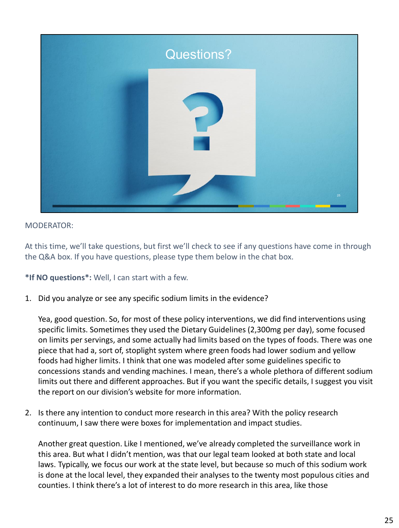

At this time, we'll take questions, but first we'll check to see if any questions have come in through the Q&A box. If you have questions, please type them below in the chat box.

**\*If NO questions\*:** Well, I can start with a few.

1. Did you analyze or see any specific sodium limits in the evidence?

Yea, good question. So, for most of these policy interventions, we did find interventions using specific limits. Sometimes they used the Dietary Guidelines (2,300mg per day), some focused on limits per servings, and some actually had limits based on the types of foods. There was one piece that had a, sort of, stoplight system where green foods had lower sodium and yellow foods had higher limits. I think that one was modeled after some guidelines specific to concessions stands and vending machines. I mean, there's a whole plethora of different sodium limits out there and different approaches. But if you want the specific details, I suggest you visit the report on our division's website for more information.

2. Is there any intention to conduct more research in this area? With the policy research continuum, I saw there were boxes for implementation and impact studies.

Another great question. Like I mentioned, we've already completed the surveillance work in this area. But what I didn't mention, was that our legal team looked at both state and local laws. Typically, we focus our work at the state level, but because so much of this sodium work is done at the local level, they expanded their analyses to the twenty most populous cities and counties. I think there's a lot of interest to do more research in this area, like those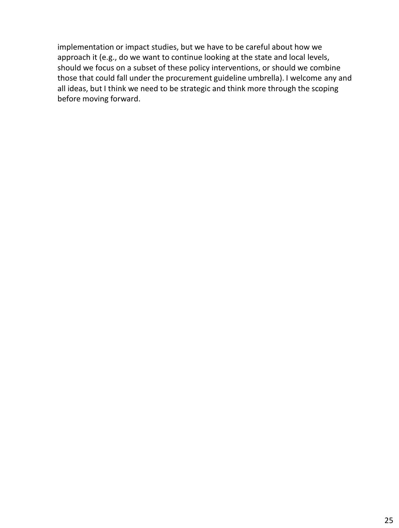implementation or impact studies, but we have to be careful about how we approach it (e.g., do we want to continue looking at the state and local levels, should we focus on a subset of these policy interventions, or should we combine those that could fall under the procurement guideline umbrella). I welcome any and all ideas, but I think we need to be strategic and think more through the scoping before moving forward.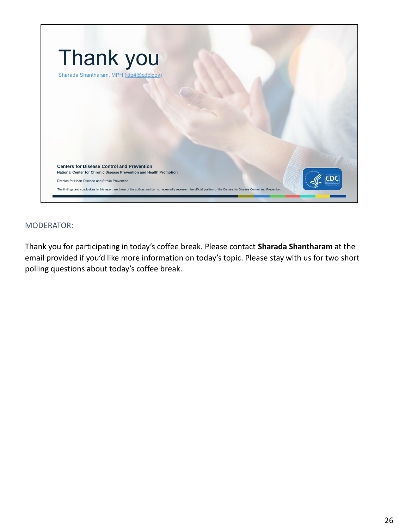

Thank you for participating in today's coffee break. Please contact **Sharada Shantharam** at the email provided if you'd like more information on today's topic. Please stay with us for two short polling questions about today's coffee break.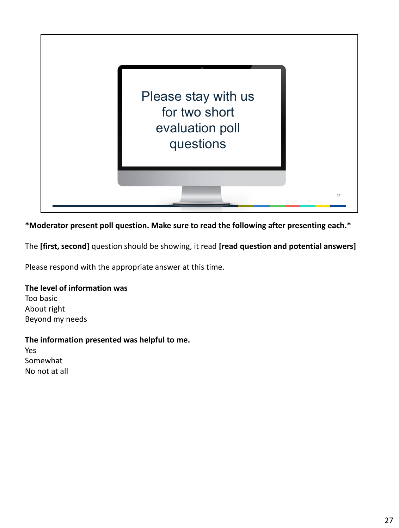

**\*Moderator present poll question. Make sure to read the following after presenting each.\***

The **[first, second]** question should be showing, it read **[read question and potential answers]**

Please respond with the appropriate answer at this time.

#### **The level of information was**

Too basic About right Beyond my needs

#### **The information presented was helpful to me.**

Yes Somewhat No not at all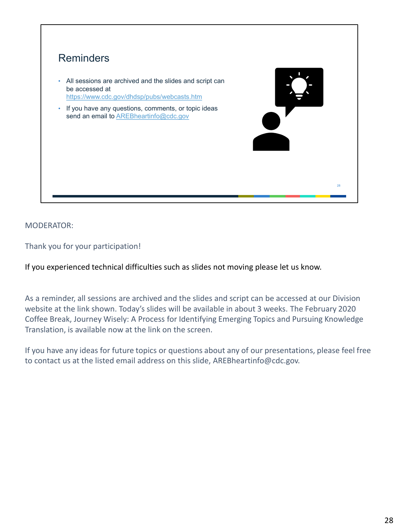

Thank you for your participation!

If you experienced technical difficulties such as slides not moving please let us know.

As a reminder, all sessions are archived and the slides and script can be accessed at our Division website at the link shown. Today's slides will be available in about 3 weeks. The February 2020 Coffee Break, Journey Wisely: A Process for Identifying Emerging Topics and Pursuing Knowledge Translation, is available now at the link on the screen.

If you have any ideas for future topics or questions about any of our presentations, please feel free to contact us at the listed email address on this slide, AREBheartinfo@cdc.gov.